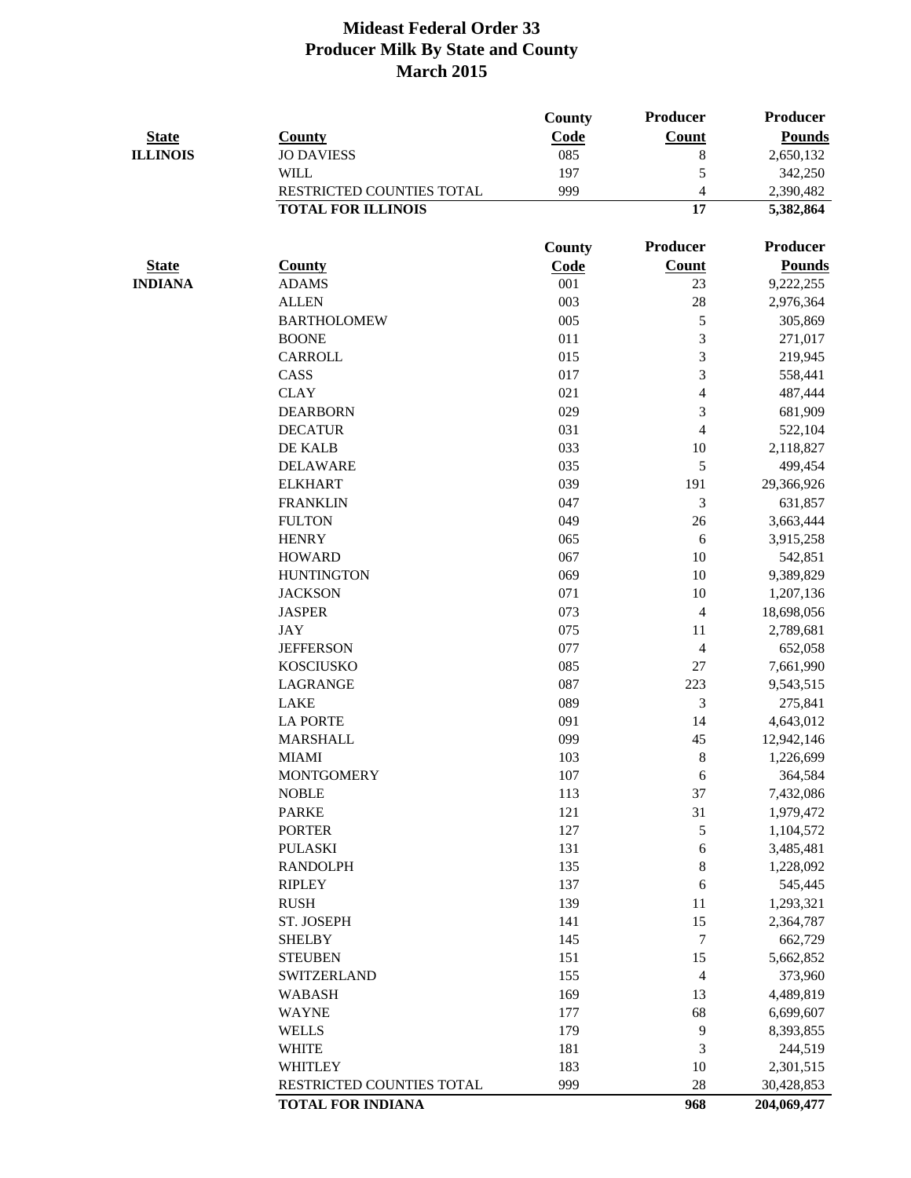|                 |                           | County        | Producer                 | <b>Producer</b> |
|-----------------|---------------------------|---------------|--------------------------|-----------------|
| <b>State</b>    | <b>County</b>             | Code          | <b>Count</b>             | <b>Pounds</b>   |
| <b>ILLINOIS</b> | <b>JO DAVIESS</b>         | 085           | 8                        | 2,650,132       |
|                 | <b>WILL</b>               | 197           | 5                        | 342,250         |
|                 | RESTRICTED COUNTIES TOTAL | 999           | $\overline{\mathcal{A}}$ | 2,390,482       |
|                 | <b>TOTAL FOR ILLINOIS</b> |               | 17                       | 5,382,864       |
|                 |                           | <b>County</b> | Producer                 | <b>Producer</b> |
| <b>State</b>    | <b>County</b>             | Code          | <b>Count</b>             | <b>Pounds</b>   |
| <b>INDIANA</b>  | <b>ADAMS</b>              | 001           | 23                       | 9,222,255       |
|                 | <b>ALLEN</b>              | 003           | 28                       | 2,976,364       |
|                 | <b>BARTHOLOMEW</b>        | 005           | 5                        | 305,869         |
|                 | <b>BOONE</b>              | 011           | 3                        | 271,017         |
|                 | <b>CARROLL</b>            | 015           | 3                        | 219,945         |
|                 | CASS                      | 017           | 3                        | 558,441         |
|                 | <b>CLAY</b>               | 021           | 4                        | 487,444         |
|                 | <b>DEARBORN</b>           | 029           | 3                        | 681,909         |
|                 | <b>DECATUR</b>            | 031           | $\overline{4}$           | 522,104         |
|                 | DE KALB                   | 033           | 10                       | 2,118,827       |
|                 | <b>DELAWARE</b>           | 035           | 5                        | 499,454         |
|                 | <b>ELKHART</b>            | 039           | 191                      | 29,366,926      |
|                 | <b>FRANKLIN</b>           | 047           | 3                        | 631,857         |
|                 | <b>FULTON</b>             | 049           | 26                       | 3,663,444       |
|                 | <b>HENRY</b>              | 065           | 6                        | 3,915,258       |
|                 | <b>HOWARD</b>             | 067           | 10                       | 542,851         |
|                 | <b>HUNTINGTON</b>         | 069           | 10                       | 9,389,829       |
|                 | <b>JACKSON</b>            | 071           | 10                       | 1,207,136       |
|                 | <b>JASPER</b>             | 073           | $\overline{4}$           | 18,698,056      |
|                 | <b>JAY</b>                | 075           | 11                       | 2,789,681       |
|                 | <b>JEFFERSON</b>          | 077           | $\overline{\mathcal{A}}$ | 652,058         |
|                 | <b>KOSCIUSKO</b>          | 085           | 27                       | 7,661,990       |
|                 | LAGRANGE                  | 087           | 223                      | 9,543,515       |
|                 | <b>LAKE</b>               | 089           | 3                        | 275,841         |
|                 | <b>LA PORTE</b>           | 091           | 14                       | 4,643,012       |
|                 | <b>MARSHALL</b>           | 099           | 45                       | 12,942,146      |
|                 | <b>MIAMI</b>              | 103           | $8\,$                    | 1,226,699       |
|                 | <b>MONTGOMERY</b>         | 107           | 6                        | 364,584         |
|                 | <b>NOBLE</b>              | 113           | 37                       | 7,432,086       |
|                 | <b>PARKE</b>              | 121           | 31                       | 1,979,472       |
|                 | <b>PORTER</b>             | 127           | 5                        | 1,104,572       |
|                 | <b>PULASKI</b>            | 131           | $\sqrt{6}$               | 3,485,481       |
|                 | <b>RANDOLPH</b>           | 135           | $8\,$                    | 1,228,092       |
|                 | <b>RIPLEY</b>             | 137           | 6                        | 545,445         |
|                 | <b>RUSH</b>               | 139           | 11                       | 1,293,321       |
|                 | ST. JOSEPH                | 141           | 15                       | 2,364,787       |
|                 | <b>SHELBY</b>             | 145           | $\overline{7}$           | 662,729         |
|                 | <b>STEUBEN</b>            | 151           | 15                       | 5,662,852       |
|                 | <b>SWITZERLAND</b>        | 155           | $\overline{\mathcal{A}}$ | 373,960         |
|                 | <b>WABASH</b>             | 169           | 13                       | 4,489,819       |
|                 | <b>WAYNE</b>              | 177           | 68                       | 6,699,607       |
|                 | <b>WELLS</b>              | 179           | 9                        | 8,393,855       |
|                 | <b>WHITE</b>              | 181           | 3                        | 244,519         |
|                 | <b>WHITLEY</b>            | 183           | 10                       | 2,301,515       |
|                 | RESTRICTED COUNTIES TOTAL | 999           | 28                       | 30,428,853      |
|                 | <b>TOTAL FOR INDIANA</b>  |               | 968                      | 204,069,477     |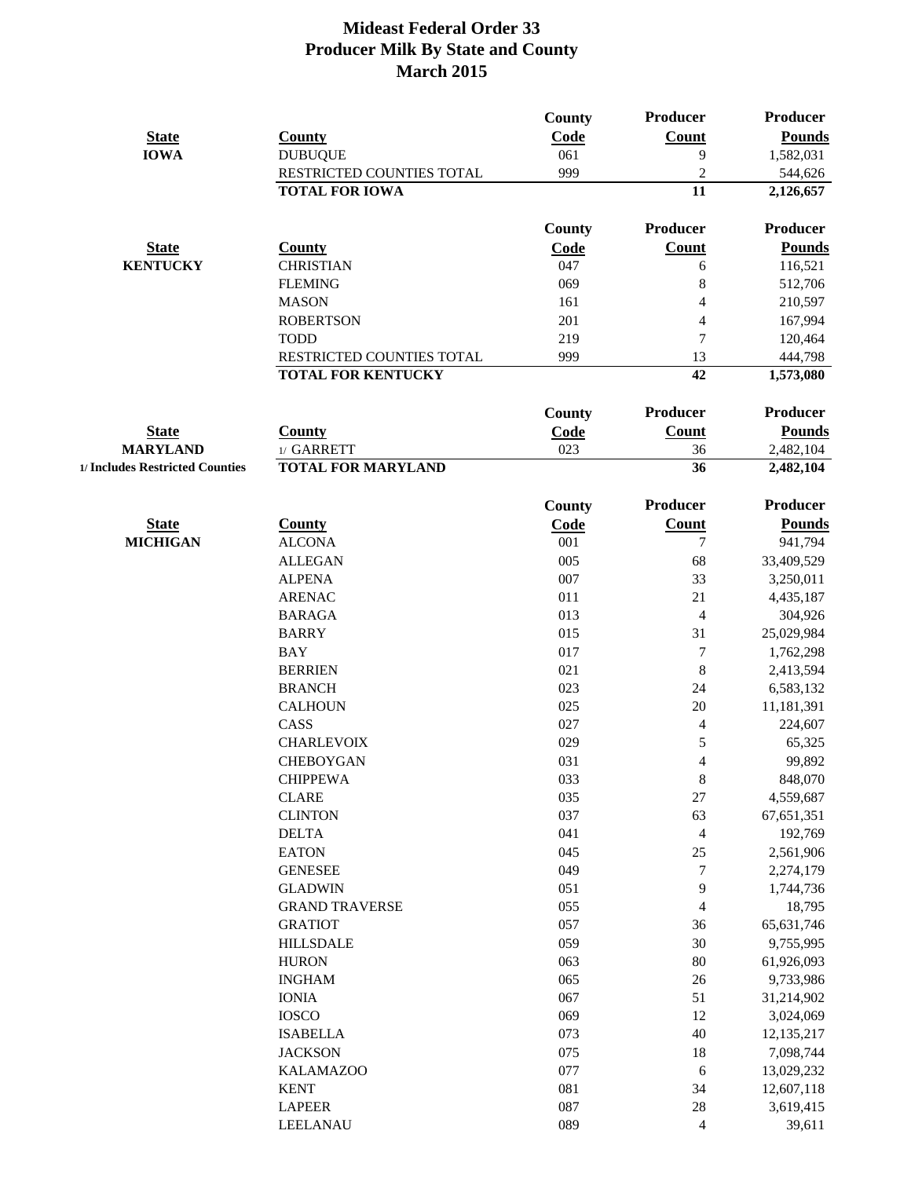|                                 |                           | <b>County</b> | Producer                 | Producer        |
|---------------------------------|---------------------------|---------------|--------------------------|-----------------|
| <b>State</b>                    | <b>County</b>             | Code          | Count                    | <b>Pounds</b>   |
| <b>IOWA</b>                     | <b>DUBUQUE</b>            | 061           | 9                        | 1,582,031       |
|                                 | RESTRICTED COUNTIES TOTAL | 999           | $\overline{2}$           | 544,626         |
|                                 | <b>TOTAL FOR IOWA</b>     |               | 11                       | 2,126,657       |
|                                 |                           | <b>County</b> | Producer                 | <b>Producer</b> |
| <b>State</b>                    | <b>County</b>             | Code          | <b>Count</b>             | <b>Pounds</b>   |
| <b>KENTUCKY</b>                 | <b>CHRISTIAN</b>          | 047           | 6                        | 116,521         |
|                                 | <b>FLEMING</b>            | 069           | 8                        | 512,706         |
|                                 | <b>MASON</b>              | 161           | 4                        | 210,597         |
|                                 | <b>ROBERTSON</b>          | 201           | $\overline{4}$           | 167,994         |
|                                 | <b>TODD</b>               | 219           | $\overline{7}$           | 120,464         |
|                                 | RESTRICTED COUNTIES TOTAL | 999           | 13                       | 444,798         |
|                                 | <b>TOTAL FOR KENTUCKY</b> |               | 42                       | 1,573,080       |
|                                 |                           | <b>County</b> | Producer                 | <b>Producer</b> |
| <b>State</b>                    | <b>County</b>             | Code          | <b>Count</b>             | <b>Pounds</b>   |
| <b>MARYLAND</b>                 | 1/ GARRETT                | 023           | 36                       | 2,482,104       |
| 1/ Includes Restricted Counties | <b>TOTAL FOR MARYLAND</b> |               | 36                       | 2,482,104       |
|                                 |                           | <b>County</b> | Producer                 | <b>Producer</b> |
| <b>State</b>                    | <b>County</b>             | Code          | <b>Count</b>             | <b>Pounds</b>   |
| <b>MICHIGAN</b>                 | <b>ALCONA</b>             | 001           | $\tau$                   | 941,794         |
|                                 | <b>ALLEGAN</b>            | 005           | 68                       | 33,409,529      |
|                                 | <b>ALPENA</b>             | 007           | 33                       | 3,250,011       |
|                                 | <b>ARENAC</b>             | 011           | 21                       | 4,435,187       |
|                                 | <b>BARAGA</b>             | 013           | 4                        | 304,926         |
|                                 | <b>BARRY</b>              | 015           | 31                       | 25,029,984      |
|                                 | <b>BAY</b>                | 017           | $\overline{7}$           | 1,762,298       |
|                                 | <b>BERRIEN</b>            | 021           | $8\,$                    | 2,413,594       |
|                                 | <b>BRANCH</b>             | 023           | 24                       | 6,583,132       |
|                                 | <b>CALHOUN</b>            | 025           | 20                       | 11,181,391      |
|                                 | CASS                      | 027           | $\overline{\mathcal{L}}$ | 224,607         |
|                                 | <b>CHARLEVOIX</b>         | 029           | 5                        | 65,325          |
|                                 | <b>CHEBOYGAN</b>          | 031           | $\overline{4}$           | 99,892          |
|                                 | <b>CHIPPEWA</b>           | 033           | $8\,$                    | 848,070         |
|                                 | <b>CLARE</b>              | 035           | 27                       | 4,559,687       |
|                                 | <b>CLINTON</b>            | 037           | 63                       | 67, 651, 351    |
|                                 | <b>DELTA</b>              | 041           | $\overline{4}$           | 192,769         |
|                                 | <b>EATON</b>              | 045           | 25                       | 2,561,906       |
|                                 | <b>GENESEE</b>            | 049           | $\boldsymbol{7}$         | 2,274,179       |
|                                 | <b>GLADWIN</b>            | 051           | 9                        | 1,744,736       |
|                                 | <b>GRAND TRAVERSE</b>     | 055           | $\overline{4}$           | 18,795          |
|                                 | <b>GRATIOT</b>            | 057           | 36                       | 65, 631, 746    |
|                                 | <b>HILLSDALE</b>          | 059           | 30                       | 9,755,995       |
|                                 | <b>HURON</b>              | 063           | 80                       | 61,926,093      |
|                                 | <b>INGHAM</b>             | 065           | 26                       | 9,733,986       |
|                                 | <b>IONIA</b>              | 067           | 51                       | 31,214,902      |
|                                 | <b>IOSCO</b>              | 069           | 12                       | 3,024,069       |
|                                 | <b>ISABELLA</b>           | 073           | 40                       | 12,135,217      |
|                                 | <b>JACKSON</b>            | 075           | 18                       | 7,098,744       |
|                                 | <b>KALAMAZOO</b>          | 077           | 6                        | 13,029,232      |
|                                 | <b>KENT</b>               | 081           | 34                       | 12,607,118      |
|                                 | <b>LAPEER</b>             | 087           | 28                       | 3,619,415       |
|                                 | LEELANAU                  | 089           | $\overline{4}$           | 39,611          |
|                                 |                           |               |                          |                 |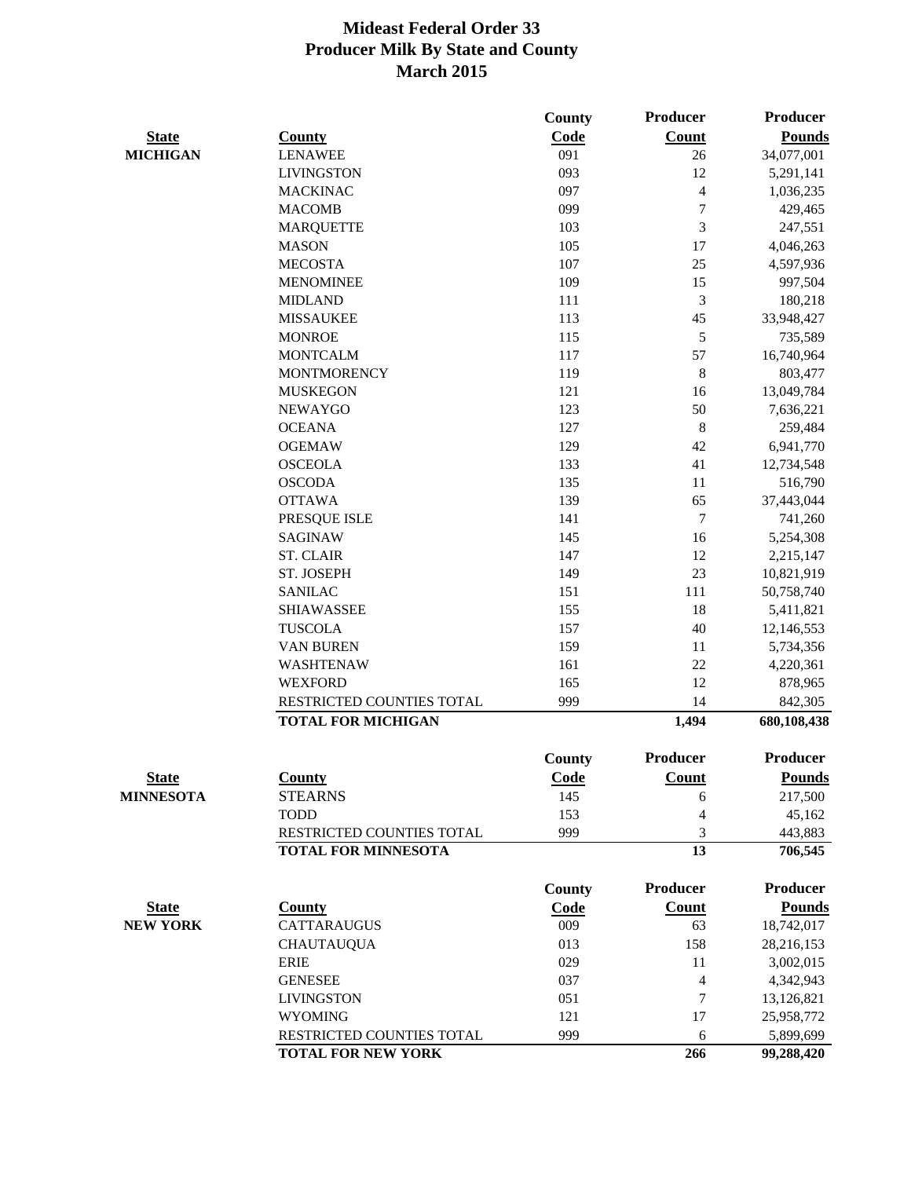|                  |                            | <b>County</b> | <b>Producer</b>  | <b>Producer</b> |
|------------------|----------------------------|---------------|------------------|-----------------|
| <b>State</b>     | <b>County</b>              | Code          | <b>Count</b>     | <b>Pounds</b>   |
| <b>MICHIGAN</b>  | <b>LENAWEE</b>             | 091           | 26               | 34,077,001      |
|                  | <b>LIVINGSTON</b>          | 093           | 12               | 5,291,141       |
|                  | <b>MACKINAC</b>            | 097           | $\overline{4}$   | 1,036,235       |
|                  | <b>MACOMB</b>              | 099           | $\overline{7}$   | 429,465         |
|                  | <b>MARQUETTE</b>           | 103           | 3                | 247,551         |
|                  | <b>MASON</b>               | 105           | 17               | 4,046,263       |
|                  | <b>MECOSTA</b>             | 107           | 25               | 4,597,936       |
|                  | <b>MENOMINEE</b>           | 109           | 15               | 997,504         |
|                  | <b>MIDLAND</b>             | 111           | $\mathfrak{Z}$   | 180,218         |
|                  | <b>MISSAUKEE</b>           | 113           | 45               | 33,948,427      |
|                  | <b>MONROE</b>              | 115           | 5                | 735,589         |
|                  | <b>MONTCALM</b>            | 117           | 57               | 16,740,964      |
|                  | <b>MONTMORENCY</b>         | 119           | 8                | 803,477         |
|                  | <b>MUSKEGON</b>            | 121           | 16               | 13,049,784      |
|                  | <b>NEWAYGO</b>             | 123           | 50               | 7,636,221       |
|                  | <b>OCEANA</b>              | 127           | $8\,$            | 259,484         |
|                  | <b>OGEMAW</b>              | 129           | 42               | 6,941,770       |
|                  | <b>OSCEOLA</b>             | 133           | 41               | 12,734,548      |
|                  | <b>OSCODA</b>              | 135           | 11               | 516,790         |
|                  | <b>OTTAWA</b>              | 139           | 65               | 37,443,044      |
|                  | PRESQUE ISLE               | 141           | $\boldsymbol{7}$ | 741,260         |
|                  | <b>SAGINAW</b>             | 145           | 16               | 5,254,308       |
|                  | <b>ST. CLAIR</b>           | 147           | 12               | 2,215,147       |
|                  | ST. JOSEPH                 | 149           | 23               | 10,821,919      |
|                  | <b>SANILAC</b>             | 151           | 111              | 50,758,740      |
|                  | <b>SHIAWASSEE</b>          | 155           | 18               | 5,411,821       |
|                  | <b>TUSCOLA</b>             | 157           | 40               | 12,146,553      |
|                  | <b>VAN BUREN</b>           | 159           | 11               | 5,734,356       |
|                  | WASHTENAW                  | 161           | 22               | 4,220,361       |
|                  | <b>WEXFORD</b>             | 165           | 12               | 878,965         |
|                  | RESTRICTED COUNTIES TOTAL  | 999           | 14               | 842,305         |
|                  | <b>TOTAL FOR MICHIGAN</b>  |               | 1,494            | 680,108,438     |
|                  |                            |               |                  |                 |
|                  |                            | County        | Producer         | <b>Producer</b> |
| <b>State</b>     | <b>County</b>              | Code          | <b>Count</b>     | <b>Pounds</b>   |
| <b>MINNESOTA</b> | <b>STEARNS</b>             | 145           | 6                | 217,500         |
|                  | <b>TODD</b>                | 153           | 4                | 45,162          |
|                  | RESTRICTED COUNTIES TOTAL  | 999           | 3                | 443,883         |
|                  | <b>TOTAL FOR MINNESOTA</b> |               | 13               | 706,545         |
|                  |                            | County        | Producer         | <b>Producer</b> |
| <b>State</b>     | <b>County</b>              | <b>Code</b>   | <b>Count</b>     | <b>Pounds</b>   |
| <b>NEW YORK</b>  | <b>CATTARAUGUS</b>         | 009           | 63               | 18,742,017      |
|                  | <b>CHAUTAUQUA</b>          | 013           | 158              | 28,216,153      |
|                  | <b>ERIE</b>                | 029           | 11               | 3,002,015       |
|                  | <b>GENESEE</b>             | 037           | $\overline{4}$   | 4,342,943       |
|                  | <b>LIVINGSTON</b>          | 051           | 7                | 13,126,821      |
|                  | <b>WYOMING</b>             | 121           | 17               | 25,958,772      |
|                  | RESTRICTED COUNTIES TOTAL  | 999           | 6                | 5,899,699       |
|                  | <b>TOTAL FOR NEW YORK</b>  |               | 266              | 99,288,420      |
|                  |                            |               |                  |                 |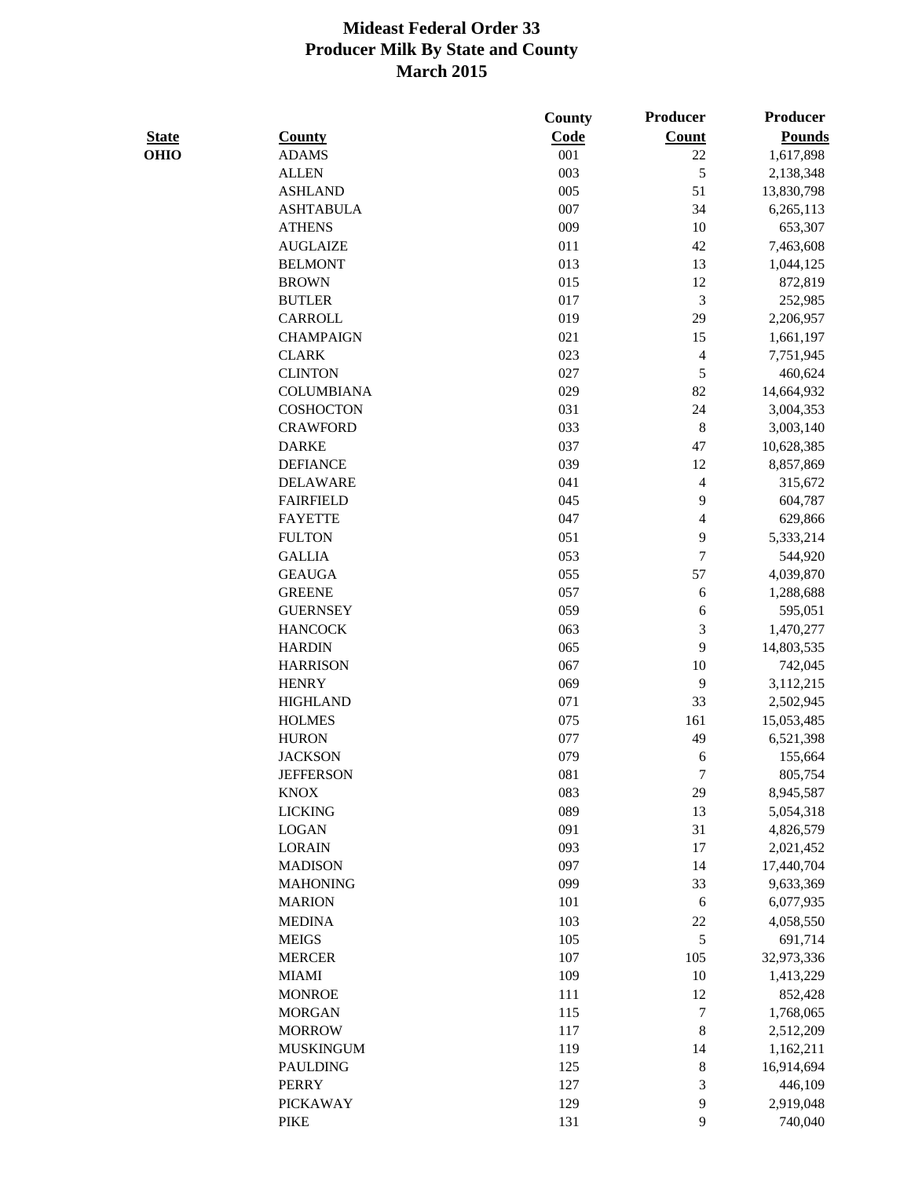|              |                   | County | <b>Producer</b>          | <b>Producer</b> |
|--------------|-------------------|--------|--------------------------|-----------------|
| <b>State</b> | <b>County</b>     | Code   | <b>Count</b>             | <b>Pounds</b>   |
| <b>OHIO</b>  | <b>ADAMS</b>      | 001    | 22                       | 1,617,898       |
|              | <b>ALLEN</b>      | 003    | 5                        | 2,138,348       |
|              | <b>ASHLAND</b>    | 005    | 51                       | 13,830,798      |
|              | <b>ASHTABULA</b>  | 007    | 34                       | 6,265,113       |
|              | <b>ATHENS</b>     | 009    | 10                       | 653,307         |
|              | <b>AUGLAIZE</b>   | 011    | 42                       | 7,463,608       |
|              | <b>BELMONT</b>    | 013    | 13                       | 1,044,125       |
|              | <b>BROWN</b>      | 015    | 12                       | 872,819         |
|              | <b>BUTLER</b>     | 017    | $\mathfrak{Z}$           | 252,985         |
|              | <b>CARROLL</b>    | 019    | 29                       | 2,206,957       |
|              | <b>CHAMPAIGN</b>  | 021    | 15                       | 1,661,197       |
|              | <b>CLARK</b>      | 023    | $\overline{4}$           | 7,751,945       |
|              | <b>CLINTON</b>    | 027    | 5                        | 460,624         |
|              | <b>COLUMBIANA</b> | 029    | 82                       | 14,664,932      |
|              | <b>COSHOCTON</b>  | 031    | 24                       | 3,004,353       |
|              | <b>CRAWFORD</b>   | 033    | $\,8\,$                  | 3,003,140       |
|              | <b>DARKE</b>      | 037    | 47                       | 10,628,385      |
|              | <b>DEFIANCE</b>   | 039    | 12                       | 8,857,869       |
|              | <b>DELAWARE</b>   | 041    | $\overline{\mathcal{A}}$ | 315,672         |
|              | <b>FAIRFIELD</b>  | 045    | 9                        | 604,787         |
|              | <b>FAYETTE</b>    | 047    | $\overline{4}$           | 629,866         |
|              | <b>FULTON</b>     | 051    | 9                        | 5,333,214       |
|              | <b>GALLIA</b>     | 053    | $\overline{7}$           | 544,920         |
|              | <b>GEAUGA</b>     | 055    | 57                       | 4,039,870       |
|              | <b>GREENE</b>     | 057    | 6                        | 1,288,688       |
|              | <b>GUERNSEY</b>   | 059    | 6                        | 595,051         |
|              | <b>HANCOCK</b>    | 063    | 3                        | 1,470,277       |
|              | <b>HARDIN</b>     | 065    | 9                        | 14,803,535      |
|              | <b>HARRISON</b>   | 067    | 10                       | 742,045         |
|              | <b>HENRY</b>      | 069    | 9                        | 3,112,215       |
|              | <b>HIGHLAND</b>   | 071    | 33                       | 2,502,945       |
|              | <b>HOLMES</b>     | 075    | 161                      | 15,053,485      |
|              | <b>HURON</b>      | 077    | 49                       | 6,521,398       |
|              | <b>JACKSON</b>    | 079    | 6                        | 155,664         |
|              | <b>JEFFERSON</b>  | 081    | $\overline{7}$           | 805,754         |
|              | <b>KNOX</b>       | 083    | 29                       | 8,945,587       |
|              | <b>LICKING</b>    | 089    | 13                       | 5,054,318       |
|              | <b>LOGAN</b>      | 091    | 31                       | 4,826,579       |
|              | <b>LORAIN</b>     | 093    | 17                       | 2,021,452       |
|              | <b>MADISON</b>    | 097    | 14                       | 17,440,704      |
|              | <b>MAHONING</b>   | 099    | 33                       | 9,633,369       |
|              | <b>MARION</b>     | 101    | 6                        | 6,077,935       |
|              | <b>MEDINA</b>     | 103    | 22                       | 4,058,550       |
|              | <b>MEIGS</b>      | 105    | $\mathfrak{S}$           | 691,714         |
|              | <b>MERCER</b>     | 107    | 105                      | 32,973,336      |
|              | <b>MIAMI</b>      | 109    | 10                       | 1,413,229       |
|              | <b>MONROE</b>     | 111    | 12                       | 852,428         |
|              | <b>MORGAN</b>     | 115    | $\boldsymbol{7}$         | 1,768,065       |
|              | <b>MORROW</b>     | 117    | $\,8\,$                  | 2,512,209       |
|              | <b>MUSKINGUM</b>  | 119    | 14                       | 1,162,211       |
|              | <b>PAULDING</b>   | 125    | $\,8\,$                  | 16,914,694      |
|              | <b>PERRY</b>      | 127    | 3                        | 446,109         |
|              | <b>PICKAWAY</b>   | 129    | $\mathbf{9}$             | 2,919,048       |
|              | <b>PIKE</b>       | 131    | 9                        | 740,040         |
|              |                   |        |                          |                 |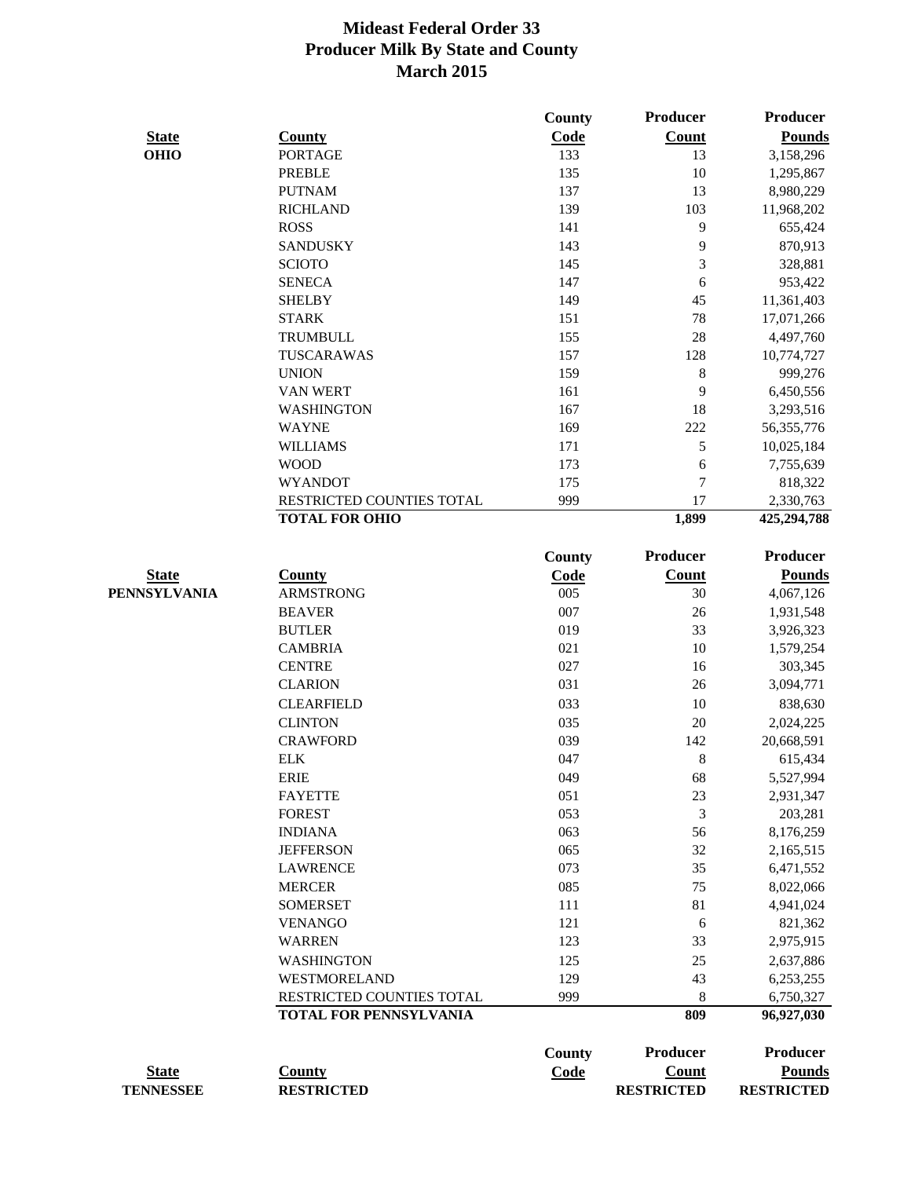|                  |                               | County      | Producer          | <b>Producer</b>   |
|------------------|-------------------------------|-------------|-------------------|-------------------|
| <b>State</b>     | <b>County</b>                 | Code        | <b>Count</b>      | <b>Pounds</b>     |
| <b>OHIO</b>      | <b>PORTAGE</b>                | 133         | 13                | 3,158,296         |
|                  | <b>PREBLE</b>                 | 135         | 10                | 1,295,867         |
|                  | <b>PUTNAM</b>                 | 137         | 13                | 8,980,229         |
|                  | <b>RICHLAND</b>               | 139         | 103               | 11,968,202        |
|                  | <b>ROSS</b>                   | 141         | 9                 | 655,424           |
|                  | <b>SANDUSKY</b>               | 143         | 9                 | 870,913           |
|                  | <b>SCIOTO</b>                 | 145         | 3                 | 328,881           |
|                  | <b>SENECA</b>                 | 147         | 6                 | 953,422           |
|                  | <b>SHELBY</b>                 | 149         | 45                | 11,361,403        |
|                  | <b>STARK</b>                  | 151         | 78                | 17,071,266        |
|                  | <b>TRUMBULL</b>               | 155         | 28                | 4,497,760         |
|                  | TUSCARAWAS                    | 157         | 128               | 10,774,727        |
|                  | <b>UNION</b>                  | 159         | 8                 | 999,276           |
|                  | <b>VAN WERT</b>               | 161         | 9                 | 6,450,556         |
|                  | <b>WASHINGTON</b>             | 167         | 18                | 3,293,516         |
|                  | <b>WAYNE</b>                  | 169         | 222               | 56, 355, 776      |
|                  | <b>WILLIAMS</b>               | 171         | $\mathfrak s$     | 10,025,184        |
|                  | <b>WOOD</b>                   | 173         | 6                 | 7,755,639         |
|                  | <b>WYANDOT</b>                | 175         | $\overline{7}$    | 818,322           |
|                  | RESTRICTED COUNTIES TOTAL     | 999         | 17                | 2,330,763         |
|                  | <b>TOTAL FOR OHIO</b>         |             | 1,899             | 425,294,788       |
|                  |                               |             |                   |                   |
|                  |                               | County      | Producer          | <b>Producer</b>   |
| <b>State</b>     | <b>County</b>                 | <b>Code</b> | <b>Count</b>      | <b>Pounds</b>     |
| PENNSYLVANIA     | <b>ARMSTRONG</b>              | 005         | 30                | 4,067,126         |
|                  | <b>BEAVER</b>                 | 007         | 26                | 1,931,548         |
|                  | <b>BUTLER</b>                 | 019         | 33                | 3,926,323         |
|                  | <b>CAMBRIA</b>                | 021         | 10                | 1,579,254         |
|                  | <b>CENTRE</b>                 | 027         | 16                | 303,345           |
|                  | <b>CLARION</b>                | 031         | 26                | 3,094,771         |
|                  | <b>CLEARFIELD</b>             | 033         | 10                | 838,630           |
|                  | <b>CLINTON</b>                | 035         | 20                | 2,024,225         |
|                  | <b>CRAWFORD</b>               | 039         | 142               | 20,668,591        |
|                  | <b>ELK</b>                    | 047         | 8                 | 615,434           |
|                  | <b>ERIE</b>                   | 049         | 68                | 5,527,994         |
|                  | <b>FAYETTE</b>                | 051         | 23                | 2,931,347         |
|                  | <b>FOREST</b>                 | 053         | 3                 | 203,281           |
|                  | <b>INDIANA</b>                | 063         | 56                | 8,176,259         |
|                  | <b>JEFFERSON</b>              | 065         | 32                | 2,165,515         |
|                  | <b>LAWRENCE</b>               | 073         | 35                | 6,471,552         |
|                  | <b>MERCER</b>                 | 085         | 75                | 8,022,066         |
|                  | <b>SOMERSET</b>               | 111         | 81                | 4,941,024         |
|                  | <b>VENANGO</b>                | 121         | 6                 | 821,362           |
|                  | <b>WARREN</b>                 | 123         | 33                | 2,975,915         |
|                  | <b>WASHINGTON</b>             | 125         | 25                | 2,637,886         |
|                  | WESTMORELAND                  | 129         | 43                | 6,253,255         |
|                  | RESTRICTED COUNTIES TOTAL     | 999         | $8\,$             | 6,750,327         |
|                  | <b>TOTAL FOR PENNSYLVANIA</b> |             | 809               | 96,927,030        |
|                  |                               |             | Producer          | <b>Producer</b>   |
|                  |                               | County      |                   |                   |
| <b>State</b>     | <b>County</b>                 | Code        | <b>Count</b>      | <b>Pounds</b>     |
| <b>TENNESSEE</b> | <b>RESTRICTED</b>             |             | <b>RESTRICTED</b> | <b>RESTRICTED</b> |